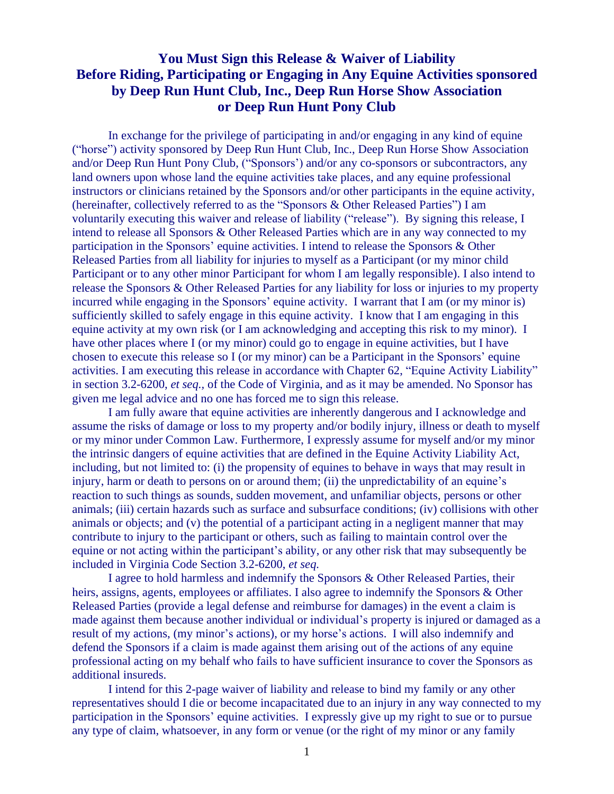## **You Must Sign this Release & Waiver of Liability Before Riding, Participating or Engaging in Any Equine Activities sponsored by Deep Run Hunt Club, Inc., Deep Run Horse Show Association or Deep Run Hunt Pony Club**

In exchange for the privilege of participating in and/or engaging in any kind of equine ("horse") activity sponsored by Deep Run Hunt Club, Inc., Deep Run Horse Show Association and/or Deep Run Hunt Pony Club, ("Sponsors') and/or any co-sponsors or subcontractors, any land owners upon whose land the equine activities take places, and any equine professional instructors or clinicians retained by the Sponsors and/or other participants in the equine activity, (hereinafter, collectively referred to as the "Sponsors & Other Released Parties") I am voluntarily executing this waiver and release of liability ("release"). By signing this release, I intend to release all Sponsors & Other Released Parties which are in any way connected to my participation in the Sponsors' equine activities. I intend to release the Sponsors & Other Released Parties from all liability for injuries to myself as a Participant (or my minor child Participant or to any other minor Participant for whom I am legally responsible). I also intend to release the Sponsors & Other Released Parties for any liability for loss or injuries to my property incurred while engaging in the Sponsors' equine activity. I warrant that I am (or my minor is) sufficiently skilled to safely engage in this equine activity. I know that I am engaging in this equine activity at my own risk (or I am acknowledging and accepting this risk to my minor). I have other places where I (or my minor) could go to engage in equine activities, but I have chosen to execute this release so I (or my minor) can be a Participant in the Sponsors' equine activities. I am executing this release in accordance with Chapter 62, "Equine Activity Liability" in section 3.2-6200, *et seq.,* of the Code of Virginia, and as it may be amended. No Sponsor has given me legal advice and no one has forced me to sign this release.

I am fully aware that equine activities are inherently dangerous and I acknowledge and assume the risks of damage or loss to my property and/or bodily injury, illness or death to myself or my minor under Common Law. Furthermore, I expressly assume for myself and/or my minor the intrinsic dangers of equine activities that are defined in the Equine Activity Liability Act, including, but not limited to: (i) the propensity of equines to behave in ways that may result in injury, harm or death to persons on or around them; (ii) the unpredictability of an equine's reaction to such things as sounds, sudden movement, and unfamiliar objects, persons or other animals; (iii) certain hazards such as surface and subsurface conditions; (iv) collisions with other animals or objects; and (v) the potential of a participant acting in a negligent manner that may contribute to injury to the participant or others, such as failing to maintain control over the equine or not acting within the participant's ability, or any other risk that may subsequently be included in Virginia Code Section 3.2-6200, *et seq.*

I agree to hold harmless and indemnify the Sponsors & Other Released Parties, their heirs, assigns, agents, employees or affiliates. I also agree to indemnify the Sponsors & Other Released Parties (provide a legal defense and reimburse for damages) in the event a claim is made against them because another individual or individual's property is injured or damaged as a result of my actions, (my minor's actions), or my horse's actions. I will also indemnify and defend the Sponsors if a claim is made against them arising out of the actions of any equine professional acting on my behalf who fails to have sufficient insurance to cover the Sponsors as additional insureds.

I intend for this 2-page waiver of liability and release to bind my family or any other representatives should I die or become incapacitated due to an injury in any way connected to my participation in the Sponsors' equine activities. I expressly give up my right to sue or to pursue any type of claim, whatsoever, in any form or venue (or the right of my minor or any family

1